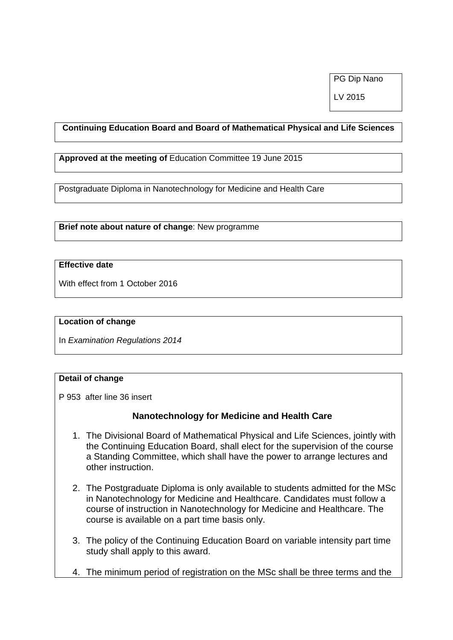PG Dip Nano

LV 2015

### **Continuing Education Board and Board of Mathematical Physical and Life Sciences**

**Approved at the meeting of** Education Committee 19 June 2015

Postgraduate Diploma in Nanotechnology for Medicine and Health Care

**Brief note about nature of change**: New programme

# **Effective date**

With effect from 1 October 2016

#### **Location of change**

In *Examination Regulations 2014* 

### **Detail of change**

P 953 after line 36 insert

# **Nanotechnology for Medicine and Health Care**

- 1. The Divisional Board of Mathematical Physical and Life Sciences, jointly with the Continuing Education Board, shall elect for the supervision of the course a Standing Committee, which shall have the power to arrange lectures and other instruction.
- 2. The Postgraduate Diploma is only available to students admitted for the MSc in Nanotechnology for Medicine and Healthcare. Candidates must follow a course of instruction in Nanotechnology for Medicine and Healthcare. The course is available on a part time basis only.
- 3. The policy of the Continuing Education Board on variable intensity part time study shall apply to this award.
- 4. The minimum period of registration on the MSc shall be three terms and the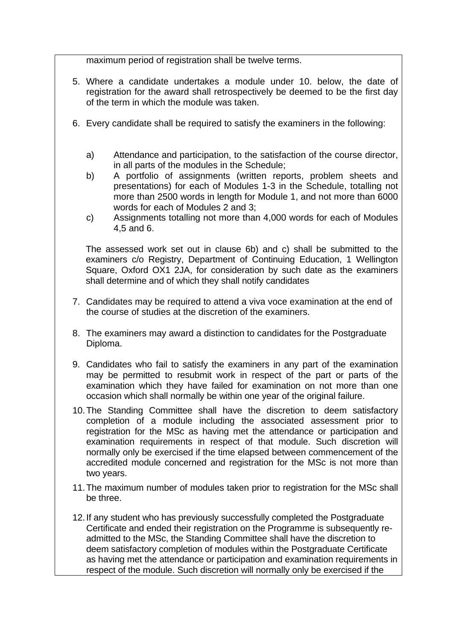maximum period of registration shall be twelve terms.

- 5. Where a candidate undertakes a module under 10. below, the date of registration for the award shall retrospectively be deemed to be the first day of the term in which the module was taken.
- 6. Every candidate shall be required to satisfy the examiners in the following:
	- a) Attendance and participation, to the satisfaction of the course director, in all parts of the modules in the Schedule;
	- b) A portfolio of assignments (written reports, problem sheets and presentations) for each of Modules 1-3 in the Schedule, totalling not more than 2500 words in length for Module 1, and not more than 6000 words for each of Modules 2 and 3;
	- c) Assignments totalling not more than 4,000 words for each of Modules 4,5 and 6.

The assessed work set out in clause 6b) and c) shall be submitted to the examiners c/o Registry, Department of Continuing Education, 1 Wellington Square, Oxford OX1 2JA, for consideration by such date as the examiners shall determine and of which they shall notify candidates

- 7. Candidates may be required to attend a viva voce examination at the end of the course of studies at the discretion of the examiners.
- 8. The examiners may award a distinction to candidates for the Postgraduate Diploma.
- 9. Candidates who fail to satisfy the examiners in any part of the examination may be permitted to resubmit work in respect of the part or parts of the examination which they have failed for examination on not more than one occasion which shall normally be within one year of the original failure.
- 10. The Standing Committee shall have the discretion to deem satisfactory completion of a module including the associated assessment prior to registration for the MSc as having met the attendance or participation and examination requirements in respect of that module. Such discretion will normally only be exercised if the time elapsed between commencement of the accredited module concerned and registration for the MSc is not more than two years.
- 11. The maximum number of modules taken prior to registration for the MSc shall be three.
- 12. If any student who has previously successfully completed the Postgraduate Certificate and ended their registration on the Programme is subsequently readmitted to the MSc, the Standing Committee shall have the discretion to deem satisfactory completion of modules within the Postgraduate Certificate as having met the attendance or participation and examination requirements in respect of the module. Such discretion will normally only be exercised if the